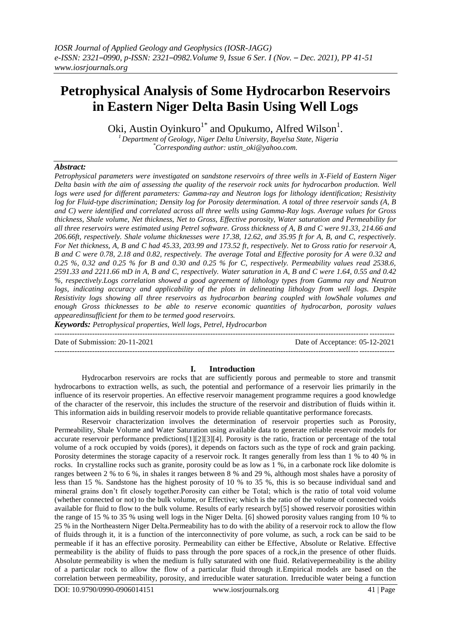# **Petrophysical Analysis of Some Hydrocarbon Reservoirs in Eastern Niger Delta Basin Using Well Logs**

Oki, Austin Oyinkuro<sup>1\*</sup> and Opukumo, Alfred Wilson<sup>1</sup>.

*<sup>1</sup>Department of Geology, Niger Delta University, Bayelsa State, Nigeria \*Corresponding author: ustin\_oki@yahoo.com.*

## *Abstract:*

*Petrophysical parameters were investigated on sandstone reservoirs of three wells in X-Field of Eastern Niger Delta basin with the aim of assessing the quality of the reservoir rock units for hydrocarbon production. Well logs were used for different parameters: Gamma-ray and Neutron logs for lithology identification; Resistivity log for Fluid-type discrimination; Density log for Porosity determination. A total of three reservoir sands (A, B and C) were identified and correlated across all three wells using Gamma-Ray logs. Average values for Gross thickness, Shale volume, Net thickness, Net to Gross, Effective porosity, Water saturation and Permeability for all three reservoirs were estimated using Petrel software. Gross thickness of A, B and C were 91.33, 214.66 and 206.66ft, respectively. Shale volume thicknesses were 17.38, 12.62, and 35.95 ft for A, B, and C, respectively. For Net thickness, A, B and C had 45.33, 203.99 and 173.52 ft, respectively. Net to Gross ratio for reservoir A, B and C were 0.78, 2.18 and 0.82, respectively. The average Total and Effective porosity for A were 0.32 and 0.25 %, 0.32 and 0.25 % for B and 0.30 and 0.25 % for C, respectively. Permeability values read 2538.6, 2591.33 and 2211.66 mD in A, B and C, respectively. Water saturation in A, B and C were 1.64, 0.55 and 0.42 %, respectively.Logs correlation showed a good agreement of lithology types from Gamma ray and Neutron*  logs, *indicating accuracy and applicability of the plots in delineating lithology from well logs. Despite Resistivity logs showing all three reservoirs as hydrocarbon bearing coupled with lowShale volumes and enough Gross thicknesses to be able to reserve economic quantities of hydrocarbon, porosity values appearedinsufficient for them to be termed good reservoirs.*

*Keywords: Petrophysical properties, Well logs, Petrel, Hydrocarbon*

--------------------------------------------------------------------------------------------------------------------------------------- Date of Submission: 20-11-2021 Date of Acceptance: 05-12-2021

#### **I. Introduction**

---------------------------------------------------------------------------------------------------------------------------------------

Hydrocarbon reservoirs are rocks that are sufficiently porous and permeable to store and transmit hydrocarbons to extraction wells, as such, the potential and performance of a reservoir lies primarily in the influence of its reservoir properties. An effective reservoir management programme requires a good knowledge of the character of the reservoir, this includes the structure of the reservoir and distribution of fluids within it. This information aids in building reservoir models to provide reliable quantitative performance forecasts.

Reservoir characterization involves the determination of reservoir properties such as Porosity, Permeability, Shale Volume and Water Saturation using available data to generate reliable reservoir models for accurate reservoir performance predictions[1][2][3][4]. Porosity is the ratio, fraction or percentage of the total volume of a rock occupied by voids (pores), it depends on factors such as the type of rock and grain packing. Porosity determines the storage capacity of a reservoir rock. It ranges generally from less than 1 % to 40 % in rocks. In crystalline rocks such as granite, porosity could be as low as 1 %, in a carbonate rock like dolomite is ranges between 2 % to 6 %, in shales it ranges between 8 % and 29 %, although most shales have a porosity of less than 15 %. Sandstone has the highest porosity of 10 % to 35 %, this is so because individual sand and mineral grains don't fit closely together.Porosity can either be Total; which is the ratio of total void volume (whether connected or not) to the bulk volume, or Effective; which is the ratio of the volume of connected voids available for fluid to flow to the bulk volume. Results of early research by[5] showed reservoir porosities within the range of 15 % to 35 % using well logs in the Niger Delta. [6] showed porosity values ranging from 10 % to 25 % in the Northeastern Niger Delta.Permeability has to do with the ability of a reservoir rock to allow the flow of fluids through it, it is a function of the interconnectivity of pore volume, as such, a rock can be said to be permeable if it has an effective porosity. Permeability can either be Effective, Absolute or Relative. Effective permeability is the ability of fluids to pass through the pore spaces of a rock,in the presence of other fluids. Absolute permeability is when the medium is fully saturated with one fluid. Relativepermeability is the ability of a particular rock to allow the flow of a particular fluid through it.Empirical models are based on the correlation between permeability, porosity, and irreducible water saturation. Irreducible water being a function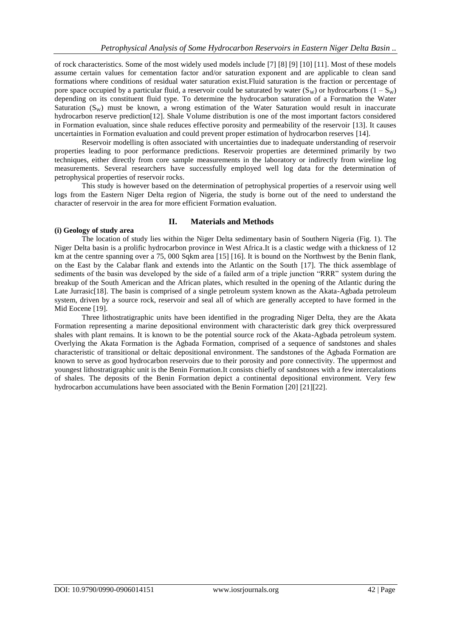of rock characteristics. Some of the most widely used models include [7] [8] [9] [10] [11]. Most of these models assume certain values for cementation factor and/or saturation exponent and are applicable to clean sand formations where conditions of residual water saturation exist.Fluid saturation is the fraction or percentage of pore space occupied by a particular fluid, a reservoir could be saturated by water  $(S_w)$  or hydrocarbons  $(1 - S_w)$ depending on its constituent fluid type. To determine the hydrocarbon saturation of a Formation the Water Saturation  $(S_W)$  must be known, a wrong estimation of the Water Saturation would result in inaccurate hydrocarbon reserve prediction[12]. Shale Volume distribution is one of the most important factors considered in Formation evaluation, since shale reduces effective porosity and permeability of the reservoir [13]. It causes uncertainties in Formation evaluation and could prevent proper estimation of hydrocarbon reserves [14].

Reservoir modelling is often associated with uncertainties due to inadequate understanding of reservoir properties leading to poor performance predictions. Reservoir properties are determined primarily by two techniques, either directly from core sample measurements in the laboratory or indirectly from wireline log measurements. Several researchers have successfully employed well log data for the determination of petrophysical properties of reservoir rocks.

This study is however based on the determination of petrophysical properties of a reservoir using well logs from the Eastern Niger Delta region of Nigeria, the study is borne out of the need to understand the character of reservoir in the area for more efficient Formation evaluation.

#### **II. Materials and Methods**

#### **(i) Geology of study area**

The location of study lies within the Niger Delta sedimentary basin of Southern Nigeria (Fig. 1). The Niger Delta basin is a prolific hydrocarbon province in West Africa.It is a clastic wedge with a thickness of 12 km at the centre spanning over a 75, 000 Sqkm area [15] [16]. It is bound on the Northwest by the Benin flank, on the East by the Calabar flank and extends into the Atlantic on the South [17]. The thick assemblage of sediments of the basin was developed by the side of a failed arm of a triple junction "RRR" system during the breakup of the South American and the African plates, which resulted in the opening of the Atlantic during the Late Jurrasic<sup>[18]</sup>. The basin is comprised of a single petroleum system known as the Akata-Agbada petroleum system, driven by a source rock, reservoir and seal all of which are generally accepted to have formed in the Mid Eocene [19].

Three lithostratigraphic units have been identified in the prograding Niger Delta, they are the Akata Formation representing a marine depositional environment with characteristic dark grey thick overpressured shales with plant remains. It is known to be the potential source rock of the Akata-Agbada petroleum system. Overlying the Akata Formation is the Agbada Formation, comprised of a sequence of sandstones and shales characteristic of transitional or deltaic depositional environment. The sandstones of the Agbada Formation are known to serve as good hydrocarbon reservoirs due to their porosity and pore connectivity. The uppermost and youngest lithostratigraphic unit is the Benin Formation.It consists chiefly of sandstones with a few intercalations of shales. The deposits of the Benin Formation depict a continental depositional environment. Very few hydrocarbon accumulations have been associated with the Benin Formation [20] [21][22].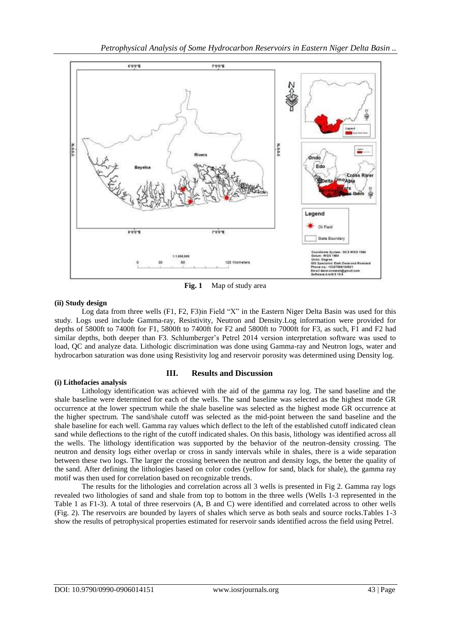

**Fig. 1** Map of study area

## **(ii) Study design**

Log data from three wells (F1, F2, F3)in Field "X" in the Eastern Niger Delta Basin was used for this study. Logs used include Gamma-ray, Resistivity, Neutron and Density.Log information were provided for depths of 5800ft to 7400ft for F1, 5800ft to 7400ft for F2 and 5800ft to 7000ft for F3, as such, F1 and F2 had similar depths, both deeper than F3. Schlumberger's Petrel 2014 version interpretation software was used to load, QC and analyze data. Lithologic discrimination was done using Gamma-ray and Neutron logs, water and hydrocarbon saturation was done using Resistivity log and reservoir porosity was determined using Density log.

## **(i) Lithofacies analysis**

## **III. Results and Discussion**

Lithology identification was achieved with the aid of the gamma ray log. The sand baseline and the shale baseline were determined for each of the wells. The sand baseline was selected as the highest mode GR occurrence at the lower spectrum while the shale baseline was selected as the highest mode GR occurrence at the higher spectrum. The sand/shale cutoff was selected as the mid-point between the sand baseline and the shale baseline for each well. Gamma ray values which deflect to the left of the established cutoff indicated clean sand while deflections to the right of the cutoff indicated shales. On this basis, lithology was identified across all the wells. The lithology identification was supported by the behavior of the neutron-density crossing. The neutron and density logs either overlap or cross in sandy intervals while in shales, there is a wide separation between these two logs. The larger the crossing between the neutron and density logs, the better the quality of the sand. After defining the lithologies based on color codes (yellow for sand, black for shale), the gamma ray motif was then used for correlation based on recognizable trends.

The results for the lithologies and correlation across all 3 wells is presented in Fig 2. Gamma ray logs revealed two lithologies of sand and shale from top to bottom in the three wells (Wells 1-3 represented in the Table 1 as F1-3). A total of three reservoirs (A, B and C) were identified and correlated across to other wells (Fig. 2). The reservoirs are bounded by layers of shales which serve as both seals and source rocks.Tables 1-3 show the results of petrophysical properties estimated for reservoir sands identified across the field using Petrel.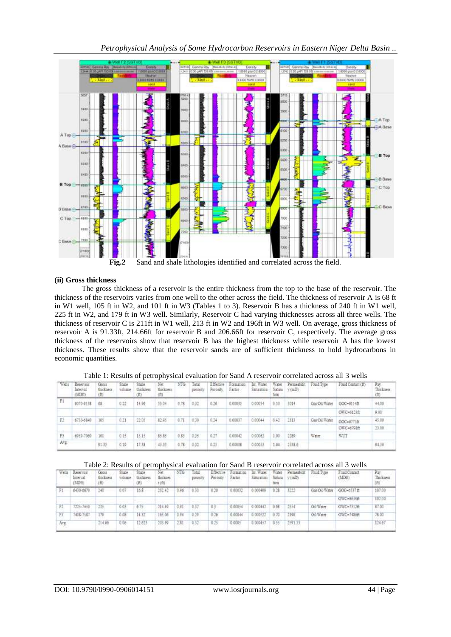

## **(ii) Gross thickness**

The gross thickness of a reservoir is the entire thickness from the top to the base of the reservoir. The thickness of the reservoirs varies from one well to the other across the field. The thickness of reservoir A is 68 ft in W1 well, 105 ft in W2, and 101 ft in W3 (Tables 1 to 3). Reservoir B has a thickness of 240 ft in W1 well, 225 ft in W2, and 179 ft in W3 well. Similarly, Reservoir C had varying thicknesses across all three wells. The thickness of reservoir C is 211ft in W1 well, 213 ft in W2 and 196ft in W3 well. On average, gross thickness of reservoir A is 91.33ft, 214.66ft for reservoir B and 206.66ft for reservoir C, respectively. The average gross thickness of the reservoirs show that reservoir B has the highest thickness while reservoir A has the lowest thickness. These results show that the reservoir sands are of sufficient thickness to hold hydrocarbons in economic quantities.

| Wells | Reservoir<br>Interval<br>(MDM) | Gross<br>theckness | Shale<br>volutne | Shake.<br>thickness<br>œ | Vet<br>fluckness. | NTG.     | Total<br>potesty | Effective<br>Porosity | Formation<br>Factor | In Water<br>Saturation | Water<br>Satura.<br>1xin | Permeabilit<br>vimD) | Found Type    | Fluid Contact (ft) | Pav.<br>Thrisness<br>m |
|-------|--------------------------------|--------------------|------------------|--------------------------|-------------------|----------|------------------|-----------------------|---------------------|------------------------|--------------------------|----------------------|---------------|--------------------|------------------------|
| F1    | 6070-8138                      | 68                 | 0.22             | 14.96                    | 53.04             | 0.78.    | 0.32             | 0.26                  | 0.00035             | 0.00054                | 0.50                     | 3014                 | Gas Oil Water | GOC-6114ft         | 44.00                  |
|       |                                |                    |                  |                          |                   |          |                  |                       |                     |                        |                          |                      |               | OWC-\$123ft        | 9.00                   |
| EZ.   | 6730-6840                      | 105                | 0.21             | 22.05                    | 12.95             | $0.71 -$ | 0.30             | 624                   | 0.00037             | 0.00044                | 0.42                     | 2313                 | Gas Oil Water | GOC=6775ft         | 45.00                  |
|       |                                |                    |                  |                          |                   |          |                  |                       |                     |                        |                          |                      |               | OWC=579EB          | 23.00                  |
| F3    | 6959-7060                      | 101                | 0.15             | 15.15                    | \$5.85            | 0.85.    | 0.35             | 6.27                  | 0.00042             | 0.00062                | 3.00                     | 2289                 | Water         | WUT                |                        |
| Avg:  |                                | 91.13              | 0.19             | 17.38                    | 45.33             | 0.78     | 0.32             | 0.25                  | 0.00038             | 0.00053                | 1.64                     | 2538.6               |               |                    | 94.50                  |

Table 1: Results of petrophysical evaluation for Sand A reservoir correlated across all 3 wells

#### Table 2: Results of petrophysical evaluation for Sand B reservoir correlated across all 3 wells

| Wells | Reservoir<br>Interval<br>(3DB) | Gross<br>thickness | Sluge<br>vettene | Shale<br>thickness<br>(ff) | Net<br>thicknes<br>2(2) | NTG  | Total<br>portesty | Effective<br>Poresty | ormation<br>Factor | In: Water<br>Saturation | Water<br>Satura<br>tion | Permeabilit<br>v(mD) | Find Type     | Fluid Contact<br>(MDH)<br><b>CONTRACTOR</b> | Pat<br>Thicknes |
|-------|--------------------------------|--------------------|------------------|----------------------------|-------------------------|------|-------------------|----------------------|--------------------|-------------------------|-------------------------|----------------------|---------------|---------------------------------------------|-----------------|
|       | 6430-6670                      | 540                | 0.07             | 16.8                       | 232.42                  | 0.96 | 0.30              | 0.20                 | 0.00032            | 0.000406                | 0.28                    | 3222                 | Gas Oil Water | GOC-6537 ft                                 | 107.00          |
|       |                                |                    |                  |                            |                         |      | The Fifther       |                      |                    |                         |                         |                      |               | OWC-6639ft                                  | 102.00          |
|       | 7225-7450                      | 225                | 0.03             | 6.75                       | 214.49                  | 0.91 | 0.37              | 0.                   | 0.00054            | 0.000442                | 0.61                    | 3354                 | Oil Water     | OWC-73126                                   | \$7.00          |
| F3.   | 7408-7537                      | 175                | 0.08             | HЛ                         | 165.06                  | 0.94 | 0.59              |                      | 0.00044            | 000522                  | 0.70                    | 2198                 | On Water      | OWC=74866                                   | 78.00           |
| AVE.  |                                | 214.66             | 0.06             | 12.623                     | 203.99<br>.             | 2.81 | 0.32              | 0.25                 | 0.0005             | 0.000457                | 0.55                    | 2591.33              |               |                                             | 124.67          |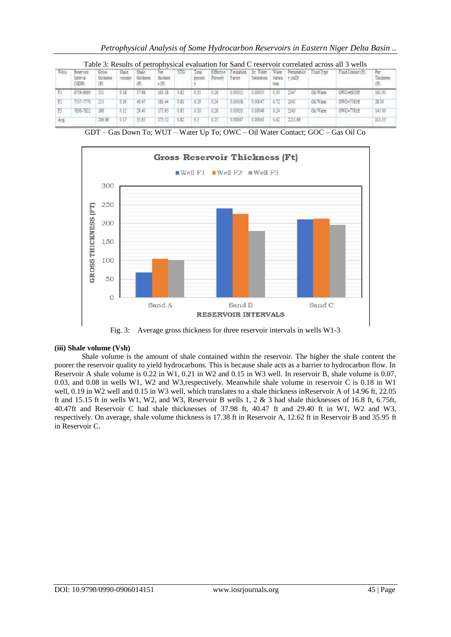| Web. | Keservatt<br>Interval<br>MD#1 | Gross<br>thickness<br>曲 |      | thickness | Net.<br>thicknes<br>1(ff) | NTG  | Total<br>potent | Effective<br>Potosity: | Formation<br>Farter | In Water<br>Saturation | Water<br>Sahira<br>tion | Permeabilit<br>v(mD) | Fluid Type | Fluid Contact (ft) | Pay<br>Thickne<br>曲 |
|------|-------------------------------|-------------------------|------|-----------|---------------------------|------|-----------------|------------------------|---------------------|------------------------|-------------------------|----------------------|------------|--------------------|---------------------|
|      | 6759-6960                     | 211                     | 0.18 | 37.98     | 163.18                    | 0.82 |                 | 0.26                   | 0.00052             | 0.00035                | 230                     | 2247                 | Oil-Water  | OWC-89200:         | 161.00              |
| E2.  | 7557-7770                     | 213                     | 0.19 | 40.47     | 181.44                    | 0.81 | 0.29            | 0.24                   | 0.00058             | 0.00047                | 0.72                    | 2045                 | Oil Water  | OWC-7585B          | 28.00               |
|      | 7636-7832                     | 106                     | 0.15 | 20:40     | 175.95                    | 685  |                 |                        | 0.00033             | 0.00049                | 0.24                    | 2943                 | Oil Water  | OWC-77810          | 145.00              |
| Avg  |                               | 105.66                  |      | 35.95     | 173.53                    | 0.82 |                 | 25                     | B.00047             | 0.00043                | 842                     | 2211.66              |            |                    | 11133               |

GDT – Gas Down To; WUT – Water Up To; OWC – Oil Water Contact; GOC – Gas Oil Co



Fig. 3: Average gross thickness for three reservoir intervals in wells W1-3

## **(iii) Shale volume (Vsh)**

Shale volume is the amount of shale contained within the reservoir. The higher the shale content the poorer the reservoir quality to yield hydrocarbons. This is because shale acts as a barrier to hydrocarbon flow. In Reservoir A shale volume is 0.22 in W1, 0.21 in W2 and 0.15 in W3 well. In reservoir B, shale volume is 0.07, 0.03, and 0.08 in wells W1, W2 and W3,respectively. Meanwhile shale volume in reservoir C is 0.18 in W1 well, 0.19 in W2 well and 0.15 in W3 well, which translates to a shale thickness inReservoir A of 14.96 ft, 22.05 ft and 15.15 ft in wells W1, W2, and W3, Reservoir B wells 1, 2 & 3 had shale thicknesses of 16.8 ft, 6.75ft, 40.47ft and Reservoir C had shale thicknesses of 37.98 ft, 40.47 ft and 29.40 ft in W1, W2 and W3, respectively. On average, shale volume thickness is 17.38 ft in Reservoir A, 12.62 ft in Reservoir B and 35.95 ft in Reservoir C.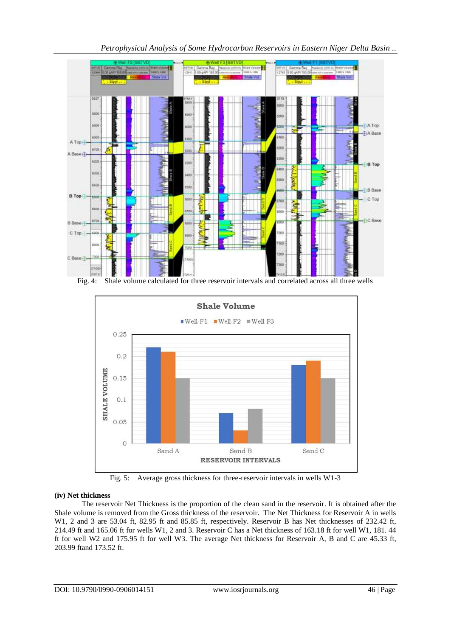

*Petrophysical Analysis of Some Hydrocarbon Reservoirs in Eastern Niger Delta Basin ..*

Fig. 4: Shale volume calculated for three reservoir intervals and correlated across all three wells



Fig. 5: Average gross thickness for three-reservoir intervals in wells W1-3

# **(iv) Net thickness**

The reservoir Net Thickness is the proportion of the clean sand in the reservoir. It is obtained after the Shale volume is removed from the Gross thickness of the reservoir. The Net Thickness for Reservoir A in wells W1, 2 and 3 are 53.04 ft, 82.95 ft and 85.85 ft, respectively. Reservoir B has Net thicknesses of 232.42 ft, 214.49 ft and 165.06 ft for wells W1, 2 and 3. Reservoir C has a Net thickness of 163.18 ft for well W1, 181. 44 ft for well W2 and 175.95 ft for well W3. The average Net thickness for Reservoir A, B and C are 45.33 ft, 203.99 ftand 173.52 ft.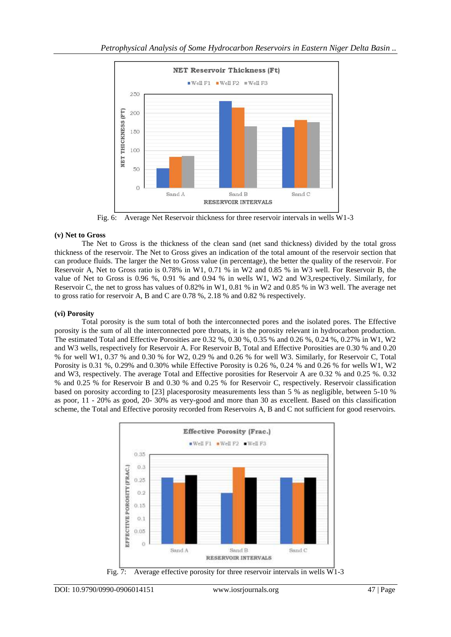

Fig. 6: Average Net Reservoir thickness for three reservoir intervals in wells W1-3

## **(v) Net to Gross**

The Net to Gross is the thickness of the clean sand (net sand thickness) divided by the total gross thickness of the reservoir. The Net to Gross gives an indication of the total amount of the reservoir section that can produce fluids. The larger the Net to Gross value (in percentage), the better the quality of the reservoir. For Reservoir A, Net to Gross ratio is 0.78% in W1, 0.71 % in W2 and 0.85 % in W3 well. For Reservoir B, the value of Net to Gross is 0.96 %, 0.91 % and 0.94 % in wells W1, W2 and W3,respectively. Similarly, for Reservoir C, the net to gross has values of 0.82% in W1, 0.81 % in W2 and 0.85 % in W3 well. The average net to gross ratio for reservoir A, B and C are 0.78 %, 2.18 % and 0.82 % respectively.

# **(vi) Porosity**

Total porosity is the sum total of both the interconnected pores and the isolated pores. The Effective porosity is the sum of all the interconnected pore throats, it is the porosity relevant in hydrocarbon production. The estimated Total and Effective Porosities are 0.32 %, 0.30 %, 0.35 % and 0.26 %, 0.24 %, 0.27% in W1, W2 and W3 wells, respectively for Reservoir A. For Reservoir B, Total and Effective Porosities are 0.30 % and 0.20 % for well W1, 0.37 % and 0.30 % for W2, 0.29 % and 0.26 % for well W3. Similarly, for Reservoir C, Total Porosity is 0.31 %, 0.29% and 0.30% while Effective Porosity is 0.26 %, 0.24 % and 0.26 % for wells W1, W2 and W3, respectively. The average Total and Effective porosities for Reservoir A are 0.32 % and 0.25 %. 0.32 % and 0.25 % for Reservoir B and 0.30 % and 0.25 % for Reservoir C, respectively. Reservoir classification based on porosity according to [23] placesporosity measurements less than 5 % as negligible, between 5-10 % as poor, 11 - 20% as good, 20- 30% as very-good and more than 30 as excellent. Based on this classification scheme, the Total and Effective porosity recorded from Reservoirs A, B and C not sufficient for good reservoirs.



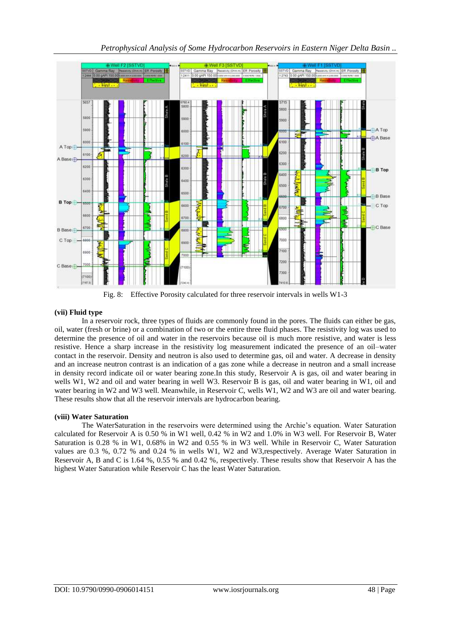

Fig. 8: Effective Porosity calculated for three reservoir intervals in wells W1-3

# **(vii) Fluid type**

In a reservoir rock, three types of fluids are commonly found in the pores. The fluids can either be gas, oil, water (fresh or brine) or a combination of two or the entire three fluid phases. The resistivity log was used to determine the presence of oil and water in the reservoirs because oil is much more resistive, and water is less resistive. Hence a sharp increase in the resistivity log measurement indicated the presence of an oil–water contact in the reservoir. Density and neutron is also used to determine gas, oil and water. A decrease in density and an increase neutron contrast is an indication of a gas zone while a decrease in neutron and a small increase in density record indicate oil or water bearing zone.In this study, Reservoir A is gas, oil and water bearing in wells W1, W2 and oil and water bearing in well W3. Reservoir B is gas, oil and water bearing in W1, oil and water bearing in W2 and W3 well. Meanwhile, in Reservoir C, wells W1, W2 and W3 are oil and water bearing. These results show that all the reservoir intervals are hydrocarbon bearing.

# **(viii) Water Saturation**

The WaterSaturation in the reservoirs were determined using the Archie's equation. Water Saturation calculated for Reservoir A is 0.50 % in W1 well, 0.42 % in W2 and 1.0% in W3 well. For Reservoir B, Water Saturation is 0.28 % in W1, 0.68% in W2 and 0.55 % in W3 well. While in Reservoir C, Water Saturation values are 0.3 %, 0.72 % and 0.24 % in wells W1, W2 and W3,respectively. Average Water Saturation in Reservoir A, B and C is 1.64 %, 0.55 % and 0.42 %, respectively. These results show that Reservoir A has the highest Water Saturation while Reservoir C has the least Water Saturation.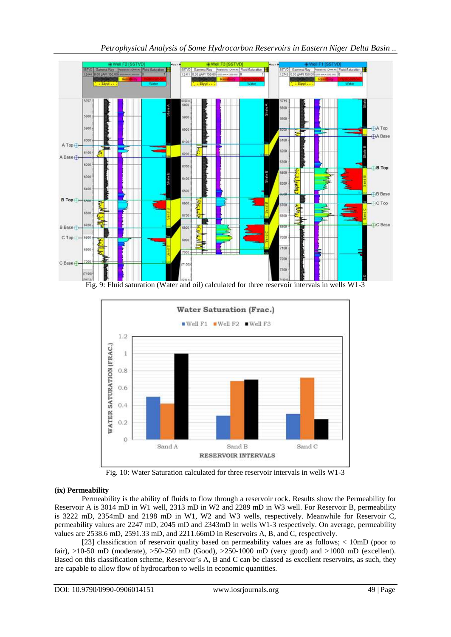

*Petrophysical Analysis of Some Hydrocarbon Reservoirs in Eastern Niger Delta Basin ..*



Fig. 10: Water Saturation calculated for three reservoir intervals in wells W1-3

## **(ix) Permeability**

Permeability is the ability of fluids to flow through a reservoir rock. Results show the Permeability for Reservoir A is 3014 mD in W1 well, 2313 mD in W2 and 2289 mD in W3 well. For Reservoir B, permeability is 3222 mD, 2354mD and 2198 mD in W1, W2 and W3 wells, respectively. Meanwhile for Reservoir C, permeability values are 2247 mD, 2045 mD and 2343mD in wells W1-3 respectively. On average, permeability values are 2538.6 mD, 2591.33 mD, and 2211.66mD in Reservoirs A, B, and C, respectively.

[23] classification of reservoir quality based on permeability values are as follows; < 10mD (poor to fair), >10-50 mD (moderate), >50-250 mD (Good), >250-1000 mD (very good) and >1000 mD (excellent). Based on this classification scheme, Reservoir's A, B and C can be classed as excellent reservoirs, as such, they are capable to allow flow of hydrocarbon to wells in economic quantities.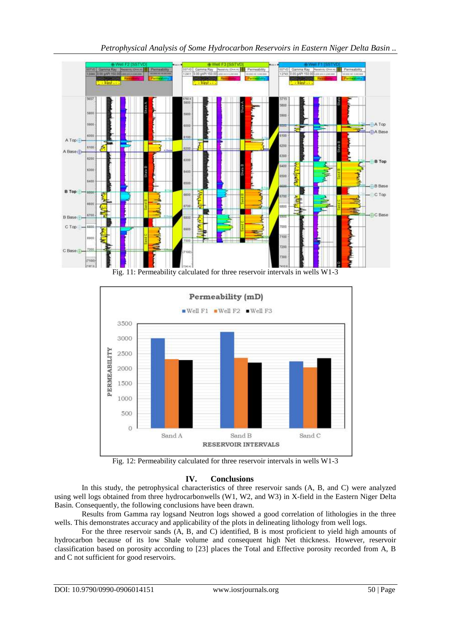

*Petrophysical Analysis of Some Hydrocarbon Reservoirs in Eastern Niger Delta Basin ..*

Fig. 11: Permeability calculated for three reservoir intervals in wells W1-3



Fig. 12: Permeability calculated for three reservoir intervals in wells W1-3

# **IV. Conclusions**

In this study, the petrophysical characteristics of three reservoir sands (A, B, and C) were analyzed using well logs obtained from three hydrocarbonwells (W1, W2, and W3) in X-field in the Eastern Niger Delta Basin. Consequently, the following conclusions have been drawn.

Results from Gamma ray logsand Neutron logs showed a good correlation of lithologies in the three wells. This demonstrates accuracy and applicability of the plots in delineating lithology from well logs.

For the three reservoir sands (A, B, and C) identified, B is most proficient to yield high amounts of hydrocarbon because of its low Shale volume and consequent high Net thickness. However, reservoir classification based on porosity according to [23] places the Total and Effective porosity recorded from A, B and C not sufficient for good reservoirs.